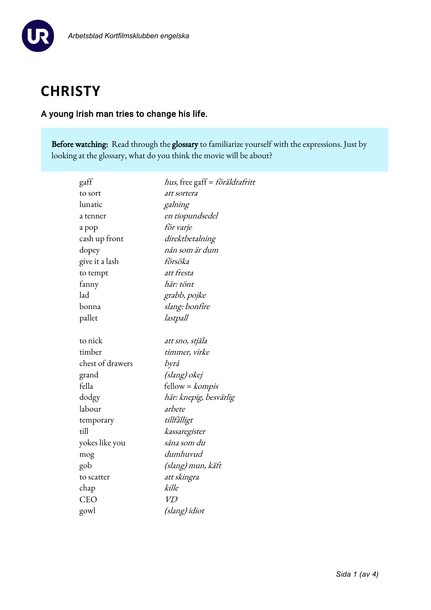

# **CHRISTY**

## A young Irish man tries to change his life.

Before watching: Read through the glossary to familiarize yourself with the expressions. Just by looking at the glossary, what do you think the movie will be about?

| hus, free gaff = föräldrafritt |
|--------------------------------|
| att sortera                    |
| galning                        |
| en tiopundsedel                |
| för varje                      |
| direktbetalning                |
| nån som är dum                 |
| försöka                        |
| att fresta                     |
| här: tönt                      |
| grabb, pojke                   |
| slang: bonfire                 |
| lastpall                       |
|                                |
| att sno, stjäla                |
| timmer, virke                  |
| byrå                           |
| (slang) okej                   |
| fellow = kompis                |
| här: knepig, besvärlig         |
| arbete                         |
| tillfälligt                    |
| kassaregister                  |
| såna som du                    |
| dumhuvud                       |
| (slang) mun, käft              |
| att skingra                    |
| kille                          |
| V <sub>D</sub>                 |
| (slang) idiot                  |
|                                |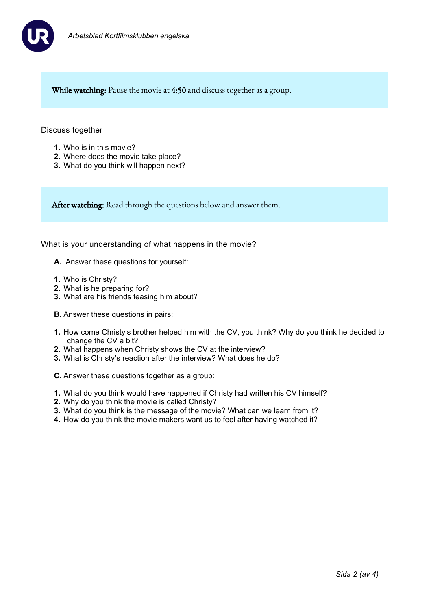

While watching: Pause the movie at 4:50 and discuss together as a group.

#### Discuss together

- **1.** Who is in this movie?
- **2.** Where does the movie take place?
- **3.** What do you think will happen next?

After watching: Read through the questions below and answer them.

What is your understanding of what happens in the movie?

- **A.** Answer these questions for yourself:
- **1.** Who is Christy?
- **2.** What is he preparing for?
- **3.** What are his friends teasing him about?
- **B.** Answer these questions in pairs:
- **1.** How come Christy's brother helped him with the CV, you think? Why do you think he decided to change the CV a bit?
- **2.** What happens when Christy shows the CV at the interview?
- **3.** What is Christy's reaction after the interview? What does he do?
- **C.** Answer these questions together as a group:
- **1.** What do you think would have happened if Christy had written his CV himself?
- **2.** Why do you think the movie is called Christy?
- **3.** What do you think is the message of the movie? What can we learn from it?
- **4.** How do you think the movie makers want us to feel after having watched it?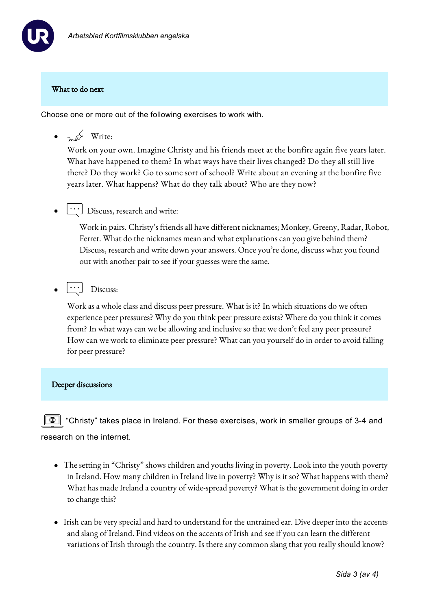

## What to do next

Choose one or more out of the following exercises to work with.

 $\bullet$   $\sim$   $\cancel{\sim}$  Write:

Work on your own. Imagine Christy and his friends meet at the bonfire again five years later. What have happened to them? In what ways have their lives changed? Do they all still live there? Do they work? Go to some sort of school? Write about an evening at the bonfire five years later. What happens? What do they talk about? Who are they now?

 $\lfloor \cdot \cdot \cdot \rfloor$  Discuss, research and write:

Work in pairs. Christy's friends all have different nicknames; Monkey, Greeny, Radar, Robot, Ferret. What do the nicknames mean and what explanations can you give behind them? Discuss, research and write down your answers. Once you're done, discuss what you found out with another pair to see if your guesses were the same.

 $|\cdots]$  Discuss:

Work as a whole class and discuss peer pressure. What is it? In which situations do we often experience peer pressures? Why do you think peer pressure exists? Where do you think it comes from? In what ways can we be allowing and inclusive so that we don't feel any peer pressure? How can we work to eliminate peer pressure? What can you yourself do in order to avoid falling for peer pressure?

#### Deeper discussions

 $\triangleq$  "Christy" takes place in Ireland. For these exercises, work in smaller groups of 3-4 and research on the internet.

- The setting in "Christy" shows children and youths living in poverty. Look into the youth poverty in Ireland. How many children in Ireland live in poverty? Why is it so? What happens with them? What has made Ireland a country of wide-spread poverty? What is the government doing in order to change this?
- Irish can be very special and hard to understand for the untrained ear. Dive deeper into the accents and slang of Ireland. Find videos on the accents of Irish and see if you can learn the different variations of Irish through the country. Is there any common slang that you really should know?